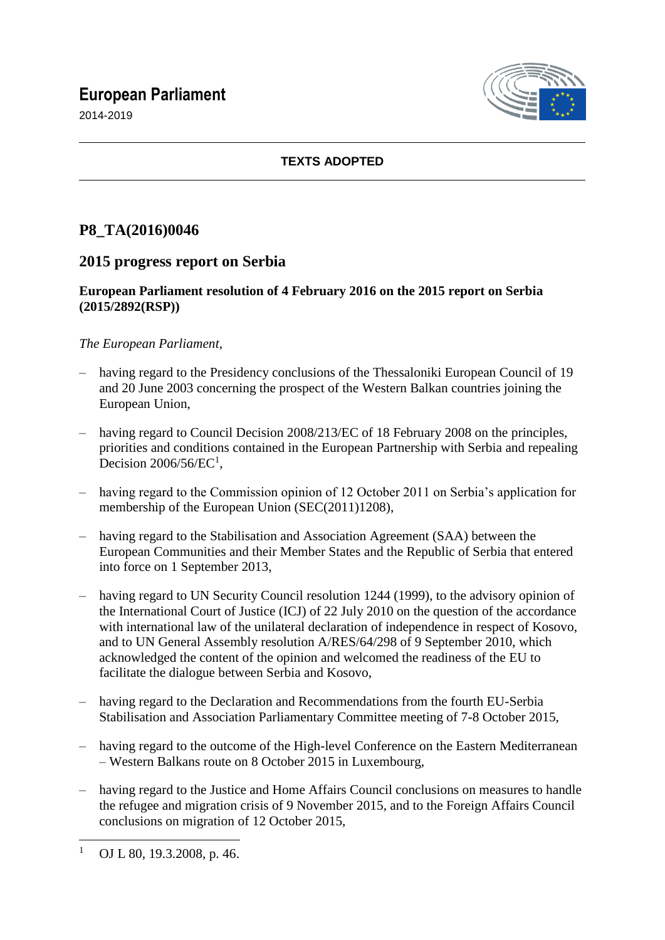## **European Parliament**

2014-2019



## **TEXTS ADOPTED**

# **P8\_TA(2016)0046**

## **2015 progress report on Serbia**

### **European Parliament resolution of 4 February 2016 on the 2015 report on Serbia (2015/2892(RSP))**

## *The European Parliament*,

- having regard to the Presidency conclusions of the Thessaloniki European Council of 19 and 20 June 2003 concerning the prospect of the Western Balkan countries joining the European Union,
- having regard to Council Decision 2008/213/EC of 18 February 2008 on the principles, priorities and conditions contained in the European Partnership with Serbia and repealing Decision  $2006/56/EC<sup>1</sup>$ ,
- having regard to the Commission opinion of 12 October 2011 on Serbia's application for membership of the European Union (SEC(2011)1208),
- having regard to the Stabilisation and Association Agreement (SAA) between the European Communities and their Member States and the Republic of Serbia that entered into force on 1 September 2013,
- having regard to UN Security Council resolution 1244 (1999), to the advisory opinion of the International Court of Justice (ICJ) of 22 July 2010 on the question of the accordance with international law of the unilateral declaration of independence in respect of Kosovo, and to UN General Assembly resolution A/RES/64/298 of 9 September 2010, which acknowledged the content of the opinion and welcomed the readiness of the EU to facilitate the dialogue between Serbia and Kosovo,
- having regard to the Declaration and Recommendations from the fourth EU-Serbia Stabilisation and Association Parliamentary Committee meeting of 7-8 October 2015,
- having regard to the outcome of the High-level Conference on the Eastern Mediterranean – Western Balkans route on 8 October 2015 in Luxembourg,
- having regard to the Justice and Home Affairs Council conclusions on measures to handle the refugee and migration crisis of 9 November 2015, and to the Foreign Affairs Council conclusions on migration of 12 October 2015,

 $\overline{1}$ OJ L 80, 19.3.2008, p. 46.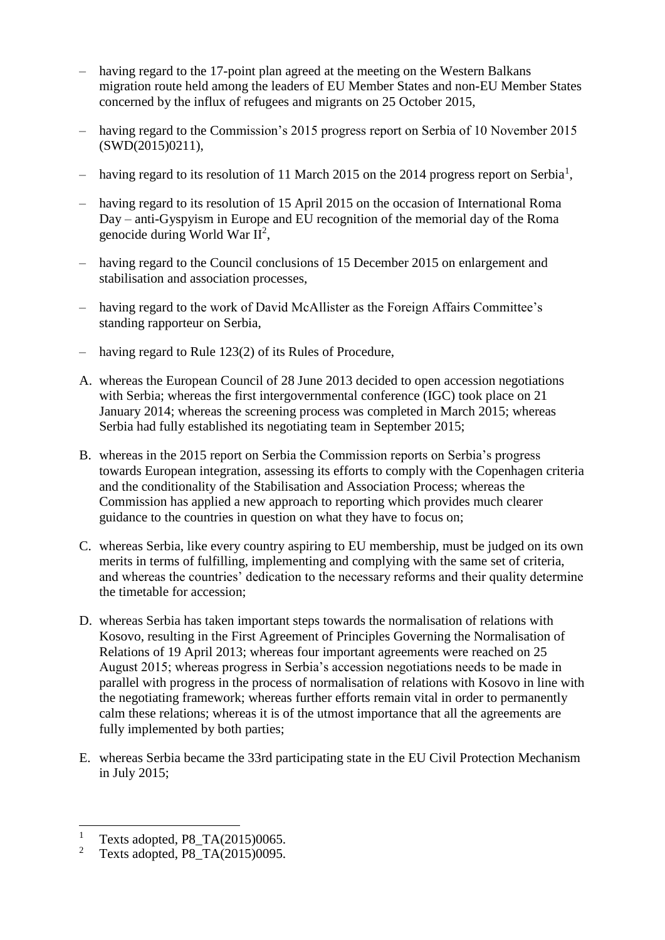- having regard to the 17-point plan agreed at the meeting on the Western Balkans migration route held among the leaders of EU Member States and non-EU Member States concerned by the influx of refugees and migrants on 25 October 2015,
- having regard to the Commission's 2015 progress report on Serbia of 10 November 2015 (SWD(2015)0211),
- having regard to its resolution of 11 March 2015 on the 2014 progress report on Serbia<sup>1</sup>,
- having regard to its resolution of 15 April 2015 on the occasion of International Roma Day – anti-Gyspyism in Europe and EU recognition of the memorial day of the Roma genocide during World War  $II^2$ ,
- having regard to the Council conclusions of 15 December 2015 on enlargement and stabilisation and association processes,
- having regard to the work of David McAllister as the Foreign Affairs Committee's standing rapporteur on Serbia,
- having regard to Rule 123(2) of its Rules of Procedure,
- A. whereas the European Council of 28 June 2013 decided to open accession negotiations with Serbia; whereas the first intergovernmental conference (IGC) took place on 21 January 2014; whereas the screening process was completed in March 2015; whereas Serbia had fully established its negotiating team in September 2015;
- B. whereas in the 2015 report on Serbia the Commission reports on Serbia's progress towards European integration, assessing its efforts to comply with the Copenhagen criteria and the conditionality of the Stabilisation and Association Process; whereas the Commission has applied a new approach to reporting which provides much clearer guidance to the countries in question on what they have to focus on;
- C. whereas Serbia, like every country aspiring to EU membership, must be judged on its own merits in terms of fulfilling, implementing and complying with the same set of criteria, and whereas the countries' dedication to the necessary reforms and their quality determine the timetable for accession;
- D. whereas Serbia has taken important steps towards the normalisation of relations with Kosovo, resulting in the First Agreement of Principles Governing the Normalisation of Relations of 19 April 2013; whereas four important agreements were reached on 25 August 2015; whereas progress in Serbia's accession negotiations needs to be made in parallel with progress in the process of normalisation of relations with Kosovo in line with the negotiating framework; whereas further efforts remain vital in order to permanently calm these relations; whereas it is of the utmost importance that all the agreements are fully implemented by both parties;
- E. whereas Serbia became the 33rd participating state in the EU Civil Protection Mechanism in July 2015;

 $\overline{a}$ 

<sup>&</sup>lt;sup>1</sup> Texts adopted, P8\_TA(2015)0065.<br><sup>2</sup> Texts adopted, P8\_TA(2015)0005.

<sup>2</sup> Texts adopted, P8\_TA(2015)0095.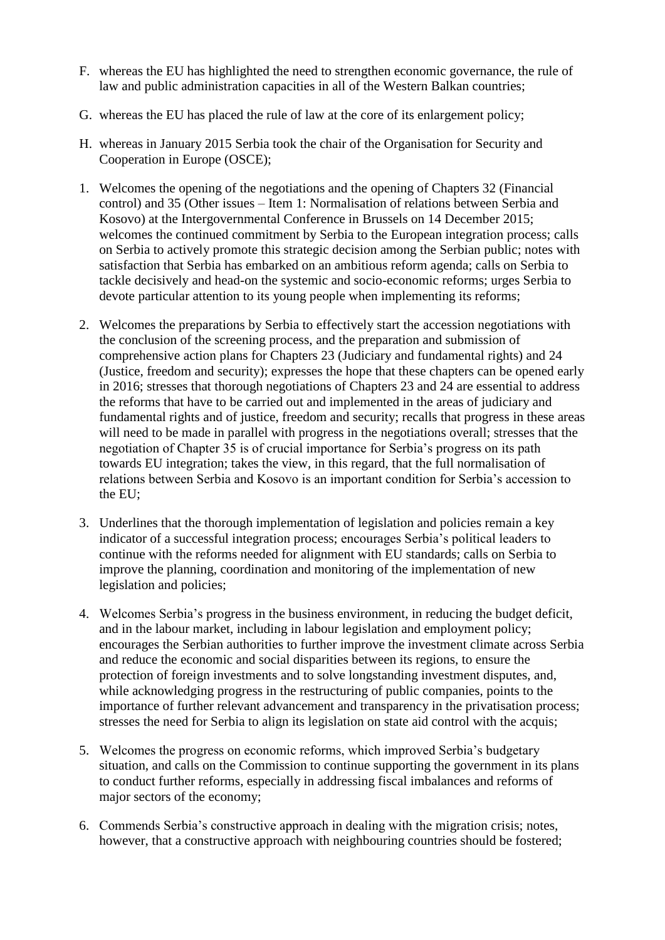- F. whereas the EU has highlighted the need to strengthen economic governance, the rule of law and public administration capacities in all of the Western Balkan countries;
- G. whereas the EU has placed the rule of law at the core of its enlargement policy;
- H. whereas in January 2015 Serbia took the chair of the Organisation for Security and Cooperation in Europe (OSCE);
- 1. Welcomes the opening of the negotiations and the opening of Chapters 32 (Financial control) and 35 (Other issues – Item 1: Normalisation of relations between Serbia and Kosovo) at the Intergovernmental Conference in Brussels on 14 December 2015; welcomes the continued commitment by Serbia to the European integration process; calls on Serbia to actively promote this strategic decision among the Serbian public; notes with satisfaction that Serbia has embarked on an ambitious reform agenda; calls on Serbia to tackle decisively and head-on the systemic and socio-economic reforms; urges Serbia to devote particular attention to its young people when implementing its reforms;
- 2. Welcomes the preparations by Serbia to effectively start the accession negotiations with the conclusion of the screening process, and the preparation and submission of comprehensive action plans for Chapters 23 (Judiciary and fundamental rights) and 24 (Justice, freedom and security); expresses the hope that these chapters can be opened early in 2016; stresses that thorough negotiations of Chapters 23 and 24 are essential to address the reforms that have to be carried out and implemented in the areas of judiciary and fundamental rights and of justice, freedom and security; recalls that progress in these areas will need to be made in parallel with progress in the negotiations overall; stresses that the negotiation of Chapter 35 is of crucial importance for Serbia's progress on its path towards EU integration; takes the view, in this regard, that the full normalisation of relations between Serbia and Kosovo is an important condition for Serbia's accession to the EU;
- 3. Underlines that the thorough implementation of legislation and policies remain a key indicator of a successful integration process; encourages Serbia's political leaders to continue with the reforms needed for alignment with EU standards; calls on Serbia to improve the planning, coordination and monitoring of the implementation of new legislation and policies;
- 4. Welcomes Serbia's progress in the business environment, in reducing the budget deficit, and in the labour market, including in labour legislation and employment policy; encourages the Serbian authorities to further improve the investment climate across Serbia and reduce the economic and social disparities between its regions, to ensure the protection of foreign investments and to solve longstanding investment disputes, and, while acknowledging progress in the restructuring of public companies, points to the importance of further relevant advancement and transparency in the privatisation process; stresses the need for Serbia to align its legislation on state aid control with the acquis;
- 5. Welcomes the progress on economic reforms, which improved Serbia's budgetary situation, and calls on the Commission to continue supporting the government in its plans to conduct further reforms, especially in addressing fiscal imbalances and reforms of major sectors of the economy;
- 6. Commends Serbia's constructive approach in dealing with the migration crisis; notes, however, that a constructive approach with neighbouring countries should be fostered;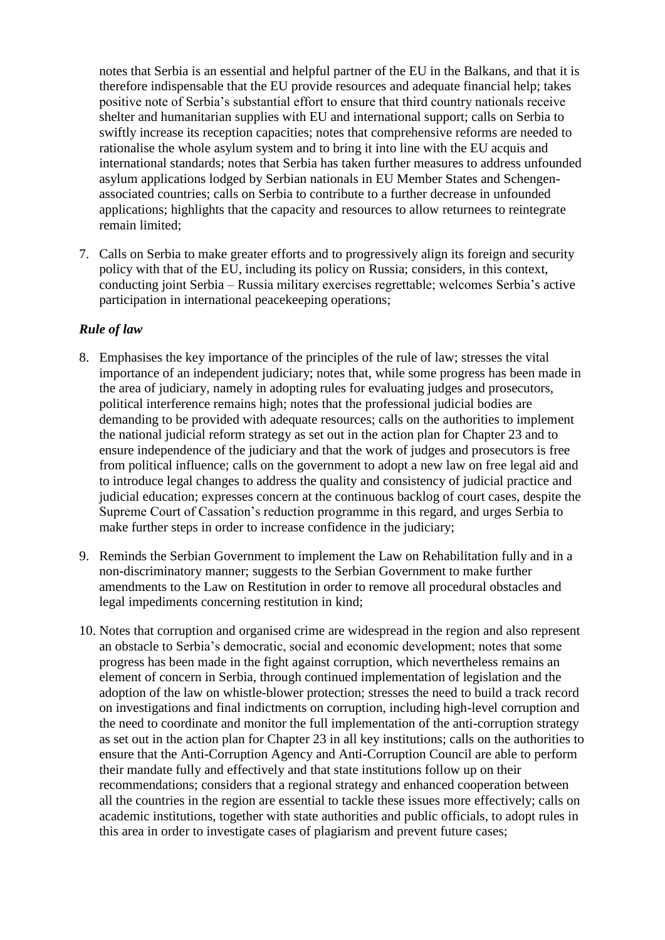notes that Serbia is an essential and helpful partner of the EU in the Balkans, and that it is therefore indispensable that the EU provide resources and adequate financial help; takes positive note of Serbia's substantial effort to ensure that third country nationals receive shelter and humanitarian supplies with EU and international support; calls on Serbia to swiftly increase its reception capacities; notes that comprehensive reforms are needed to rationalise the whole asylum system and to bring it into line with the EU acquis and international standards; notes that Serbia has taken further measures to address unfounded asylum applications lodged by Serbian nationals in EU Member States and Schengenassociated countries; calls on Serbia to contribute to a further decrease in unfounded applications; highlights that the capacity and resources to allow returnees to reintegrate remain limited;

7. Calls on Serbia to make greater efforts and to progressively align its foreign and security policy with that of the EU, including its policy on Russia; considers, in this context, conducting joint Serbia – Russia military exercises regrettable; welcomes Serbia's active participation in international peacekeeping operations;

#### *Rule of law*

- 8. Emphasises the key importance of the principles of the rule of law; stresses the vital importance of an independent judiciary; notes that, while some progress has been made in the area of judiciary, namely in adopting rules for evaluating judges and prosecutors, political interference remains high; notes that the professional judicial bodies are demanding to be provided with adequate resources; calls on the authorities to implement the national judicial reform strategy as set out in the action plan for Chapter 23 and to ensure independence of the judiciary and that the work of judges and prosecutors is free from political influence; calls on the government to adopt a new law on free legal aid and to introduce legal changes to address the quality and consistency of judicial practice and judicial education; expresses concern at the continuous backlog of court cases, despite the Supreme Court of Cassation's reduction programme in this regard, and urges Serbia to make further steps in order to increase confidence in the judiciary;
- 9. Reminds the Serbian Government to implement the Law on Rehabilitation fully and in a non-discriminatory manner; suggests to the Serbian Government to make further amendments to the Law on Restitution in order to remove all procedural obstacles and legal impediments concerning restitution in kind;
- 10. Notes that corruption and organised crime are widespread in the region and also represent an obstacle to Serbia's democratic, social and economic development; notes that some progress has been made in the fight against corruption, which nevertheless remains an element of concern in Serbia, through continued implementation of legislation and the adoption of the law on whistle-blower protection; stresses the need to build a track record on investigations and final indictments on corruption, including high-level corruption and the need to coordinate and monitor the full implementation of the anti-corruption strategy as set out in the action plan for Chapter 23 in all key institutions; calls on the authorities to ensure that the Anti-Corruption Agency and Anti-Corruption Council are able to perform their mandate fully and effectively and that state institutions follow up on their recommendations; considers that a regional strategy and enhanced cooperation between all the countries in the region are essential to tackle these issues more effectively; calls on academic institutions, together with state authorities and public officials, to adopt rules in this area in order to investigate cases of plagiarism and prevent future cases;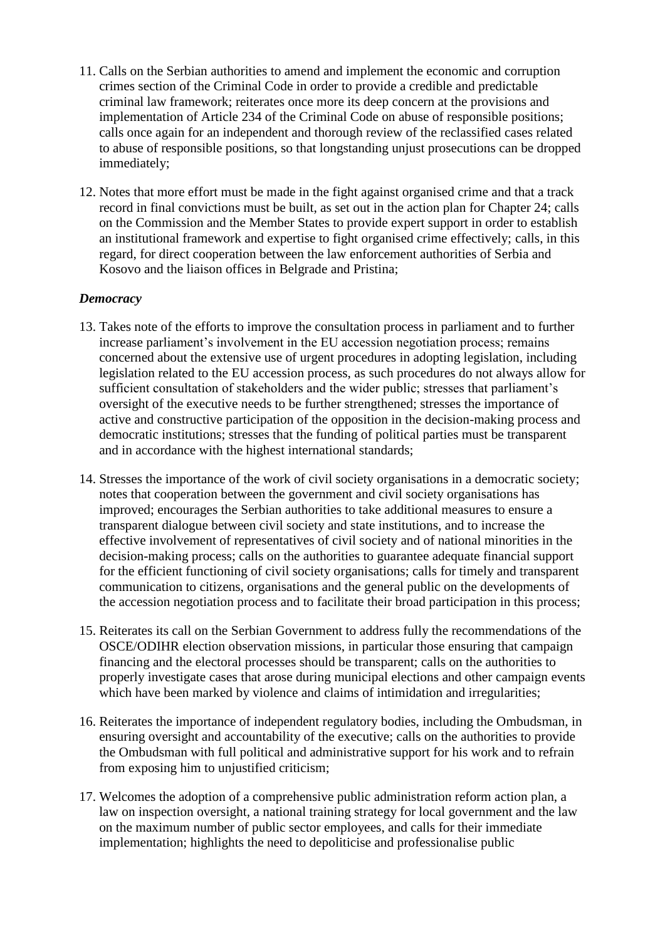- 11. Calls on the Serbian authorities to amend and implement the economic and corruption crimes section of the Criminal Code in order to provide a credible and predictable criminal law framework; reiterates once more its deep concern at the provisions and implementation of Article 234 of the Criminal Code on abuse of responsible positions; calls once again for an independent and thorough review of the reclassified cases related to abuse of responsible positions, so that longstanding unjust prosecutions can be dropped immediately;
- 12. Notes that more effort must be made in the fight against organised crime and that a track record in final convictions must be built, as set out in the action plan for Chapter 24; calls on the Commission and the Member States to provide expert support in order to establish an institutional framework and expertise to fight organised crime effectively; calls, in this regard, for direct cooperation between the law enforcement authorities of Serbia and Kosovo and the liaison offices in Belgrade and Pristina;

## *Democracy*

- 13. Takes note of the efforts to improve the consultation process in parliament and to further increase parliament's involvement in the EU accession negotiation process; remains concerned about the extensive use of urgent procedures in adopting legislation, including legislation related to the EU accession process, as such procedures do not always allow for sufficient consultation of stakeholders and the wider public; stresses that parliament's oversight of the executive needs to be further strengthened; stresses the importance of active and constructive participation of the opposition in the decision-making process and democratic institutions; stresses that the funding of political parties must be transparent and in accordance with the highest international standards;
- 14. Stresses the importance of the work of civil society organisations in a democratic society; notes that cooperation between the government and civil society organisations has improved; encourages the Serbian authorities to take additional measures to ensure a transparent dialogue between civil society and state institutions, and to increase the effective involvement of representatives of civil society and of national minorities in the decision-making process; calls on the authorities to guarantee adequate financial support for the efficient functioning of civil society organisations; calls for timely and transparent communication to citizens, organisations and the general public on the developments of the accession negotiation process and to facilitate their broad participation in this process;
- 15. Reiterates its call on the Serbian Government to address fully the recommendations of the OSCE/ODIHR election observation missions, in particular those ensuring that campaign financing and the electoral processes should be transparent; calls on the authorities to properly investigate cases that arose during municipal elections and other campaign events which have been marked by violence and claims of intimidation and irregularities;
- 16. Reiterates the importance of independent regulatory bodies, including the Ombudsman, in ensuring oversight and accountability of the executive; calls on the authorities to provide the Ombudsman with full political and administrative support for his work and to refrain from exposing him to unjustified criticism;
- 17. Welcomes the adoption of a comprehensive public administration reform action plan, a law on inspection oversight, a national training strategy for local government and the law on the maximum number of public sector employees, and calls for their immediate implementation; highlights the need to depoliticise and professionalise public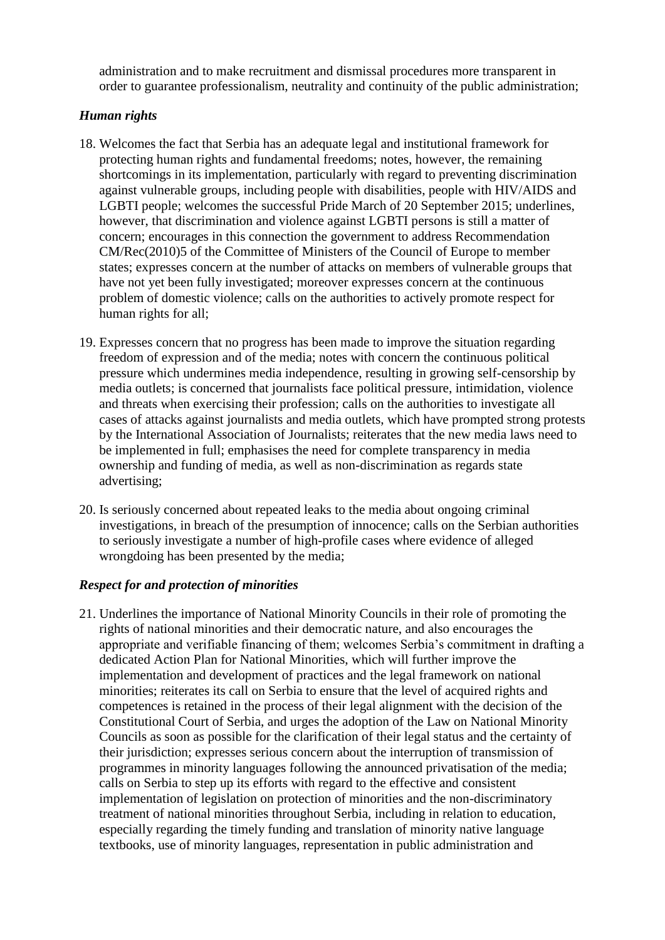administration and to make recruitment and dismissal procedures more transparent in order to guarantee professionalism, neutrality and continuity of the public administration;

#### *Human rights*

- 18. Welcomes the fact that Serbia has an adequate legal and institutional framework for protecting human rights and fundamental freedoms; notes, however, the remaining shortcomings in its implementation, particularly with regard to preventing discrimination against vulnerable groups, including people with disabilities, people with HIV/AIDS and LGBTI people; welcomes the successful Pride March of 20 September 2015; underlines, however, that discrimination and violence against LGBTI persons is still a matter of concern; encourages in this connection the government to address Recommendation CM/Rec(2010)5 of the Committee of Ministers of the Council of Europe to member states; expresses concern at the number of attacks on members of vulnerable groups that have not yet been fully investigated; moreover expresses concern at the continuous problem of domestic violence; calls on the authorities to actively promote respect for human rights for all;
- 19. Expresses concern that no progress has been made to improve the situation regarding freedom of expression and of the media; notes with concern the continuous political pressure which undermines media independence, resulting in growing self-censorship by media outlets; is concerned that journalists face political pressure, intimidation, violence and threats when exercising their profession; calls on the authorities to investigate all cases of attacks against journalists and media outlets, which have prompted strong protests by the International Association of Journalists; reiterates that the new media laws need to be implemented in full; emphasises the need for complete transparency in media ownership and funding of media, as well as non-discrimination as regards state advertising;
- 20. Is seriously concerned about repeated leaks to the media about ongoing criminal investigations, in breach of the presumption of innocence; calls on the Serbian authorities to seriously investigate a number of high-profile cases where evidence of alleged wrongdoing has been presented by the media;

### *Respect for and protection of minorities*

21. Underlines the importance of National Minority Councils in their role of promoting the rights of national minorities and their democratic nature, and also encourages the appropriate and verifiable financing of them; welcomes Serbia's commitment in drafting a dedicated Action Plan for National Minorities, which will further improve the implementation and development of practices and the legal framework on national minorities; reiterates its call on Serbia to ensure that the level of acquired rights and competences is retained in the process of their legal alignment with the decision of the Constitutional Court of Serbia, and urges the adoption of the Law on National Minority Councils as soon as possible for the clarification of their legal status and the certainty of their jurisdiction; expresses serious concern about the interruption of transmission of programmes in minority languages following the announced privatisation of the media; calls on Serbia to step up its efforts with regard to the effective and consistent implementation of legislation on protection of minorities and the non-discriminatory treatment of national minorities throughout Serbia, including in relation to education, especially regarding the timely funding and translation of minority native language textbooks, use of minority languages, representation in public administration and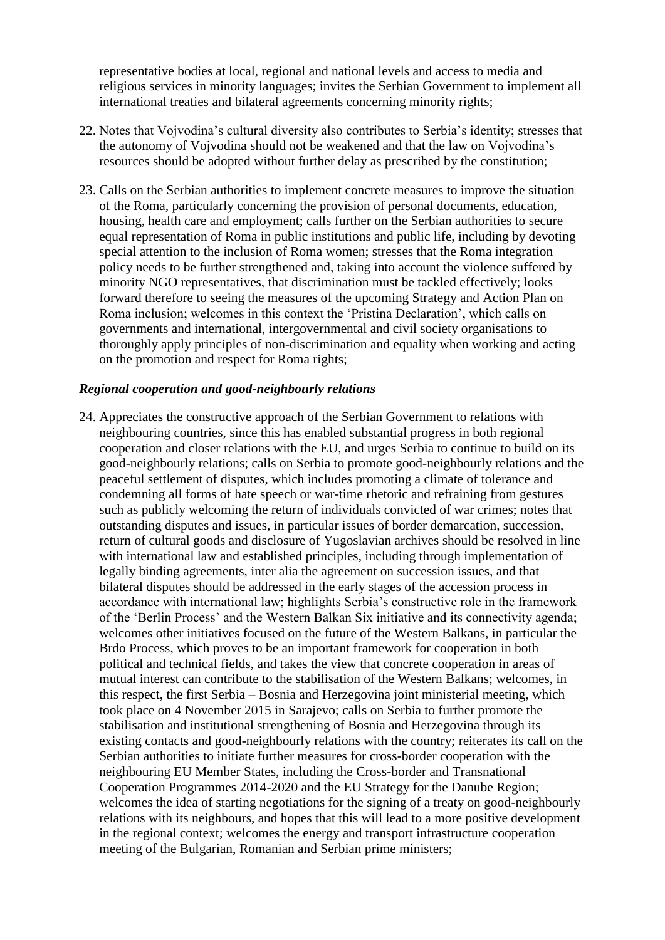representative bodies at local, regional and national levels and access to media and religious services in minority languages; invites the Serbian Government to implement all international treaties and bilateral agreements concerning minority rights;

- 22. Notes that Vojvodina's cultural diversity also contributes to Serbia's identity; stresses that the autonomy of Vojvodina should not be weakened and that the law on Vojvodina's resources should be adopted without further delay as prescribed by the constitution;
- 23. Calls on the Serbian authorities to implement concrete measures to improve the situation of the Roma, particularly concerning the provision of personal documents, education, housing, health care and employment; calls further on the Serbian authorities to secure equal representation of Roma in public institutions and public life, including by devoting special attention to the inclusion of Roma women; stresses that the Roma integration policy needs to be further strengthened and, taking into account the violence suffered by minority NGO representatives, that discrimination must be tackled effectively; looks forward therefore to seeing the measures of the upcoming Strategy and Action Plan on Roma inclusion; welcomes in this context the 'Pristina Declaration', which calls on governments and international, intergovernmental and civil society organisations to thoroughly apply principles of non-discrimination and equality when working and acting on the promotion and respect for Roma rights;

#### *Regional cooperation and good-neighbourly relations*

24. Appreciates the constructive approach of the Serbian Government to relations with neighbouring countries, since this has enabled substantial progress in both regional cooperation and closer relations with the EU, and urges Serbia to continue to build on its good-neighbourly relations; calls on Serbia to promote good-neighbourly relations and the peaceful settlement of disputes, which includes promoting a climate of tolerance and condemning all forms of hate speech or war-time rhetoric and refraining from gestures such as publicly welcoming the return of individuals convicted of war crimes; notes that outstanding disputes and issues, in particular issues of border demarcation, succession, return of cultural goods and disclosure of Yugoslavian archives should be resolved in line with international law and established principles, including through implementation of legally binding agreements, inter alia the agreement on succession issues, and that bilateral disputes should be addressed in the early stages of the accession process in accordance with international law; highlights Serbia's constructive role in the framework of the 'Berlin Process' and the Western Balkan Six initiative and its connectivity agenda; welcomes other initiatives focused on the future of the Western Balkans, in particular the Brdo Process, which proves to be an important framework for cooperation in both political and technical fields, and takes the view that concrete cooperation in areas of mutual interest can contribute to the stabilisation of the Western Balkans; welcomes, in this respect, the first Serbia – Bosnia and Herzegovina joint ministerial meeting, which took place on 4 November 2015 in Sarajevo; calls on Serbia to further promote the stabilisation and institutional strengthening of Bosnia and Herzegovina through its existing contacts and good-neighbourly relations with the country; reiterates its call on the Serbian authorities to initiate further measures for cross-border cooperation with the neighbouring EU Member States, including the Cross-border and Transnational Cooperation Programmes 2014-2020 and the EU Strategy for the Danube Region; welcomes the idea of starting negotiations for the signing of a treaty on good-neighbourly relations with its neighbours, and hopes that this will lead to a more positive development in the regional context; welcomes the energy and transport infrastructure cooperation meeting of the Bulgarian, Romanian and Serbian prime ministers;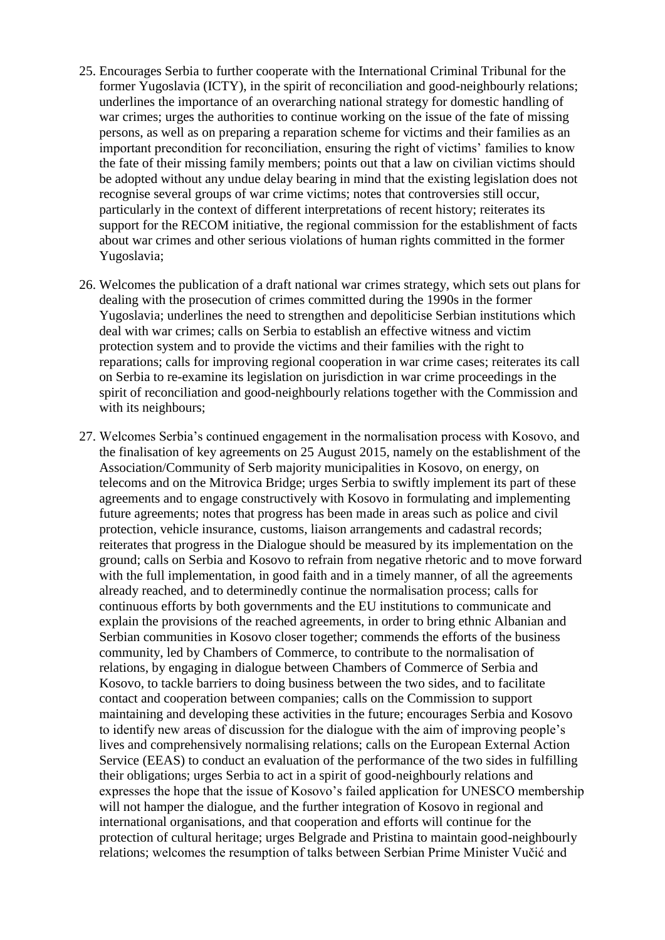- 25. Encourages Serbia to further cooperate with the International Criminal Tribunal for the former Yugoslavia (ICTY), in the spirit of reconciliation and good-neighbourly relations; underlines the importance of an overarching national strategy for domestic handling of war crimes; urges the authorities to continue working on the issue of the fate of missing persons, as well as on preparing a reparation scheme for victims and their families as an important precondition for reconciliation, ensuring the right of victims' families to know the fate of their missing family members; points out that a law on civilian victims should be adopted without any undue delay bearing in mind that the existing legislation does not recognise several groups of war crime victims; notes that controversies still occur, particularly in the context of different interpretations of recent history; reiterates its support for the RECOM initiative, the regional commission for the establishment of facts about war crimes and other serious violations of human rights committed in the former Yugoslavia;
- 26. Welcomes the publication of a draft national war crimes strategy, which sets out plans for dealing with the prosecution of crimes committed during the 1990s in the former Yugoslavia; underlines the need to strengthen and depoliticise Serbian institutions which deal with war crimes; calls on Serbia to establish an effective witness and victim protection system and to provide the victims and their families with the right to reparations; calls for improving regional cooperation in war crime cases; reiterates its call on Serbia to re-examine its legislation on jurisdiction in war crime proceedings in the spirit of reconciliation and good-neighbourly relations together with the Commission and with its neighbours;
- 27. Welcomes Serbia's continued engagement in the normalisation process with Kosovo, and the finalisation of key agreements on 25 August 2015, namely on the establishment of the Association/Community of Serb majority municipalities in Kosovo, on energy, on telecoms and on the Mitrovica Bridge; urges Serbia to swiftly implement its part of these agreements and to engage constructively with Kosovo in formulating and implementing future agreements; notes that progress has been made in areas such as police and civil protection, vehicle insurance, customs, liaison arrangements and cadastral records; reiterates that progress in the Dialogue should be measured by its implementation on the ground; calls on Serbia and Kosovo to refrain from negative rhetoric and to move forward with the full implementation, in good faith and in a timely manner, of all the agreements already reached, and to determinedly continue the normalisation process; calls for continuous efforts by both governments and the EU institutions to communicate and explain the provisions of the reached agreements, in order to bring ethnic Albanian and Serbian communities in Kosovo closer together; commends the efforts of the business community, led by Chambers of Commerce, to contribute to the normalisation of relations, by engaging in dialogue between Chambers of Commerce of Serbia and Kosovo, to tackle barriers to doing business between the two sides, and to facilitate contact and cooperation between companies; calls on the Commission to support maintaining and developing these activities in the future; encourages Serbia and Kosovo to identify new areas of discussion for the dialogue with the aim of improving people's lives and comprehensively normalising relations; calls on the European External Action Service (EEAS) to conduct an evaluation of the performance of the two sides in fulfilling their obligations; urges Serbia to act in a spirit of good-neighbourly relations and expresses the hope that the issue of Kosovo's failed application for UNESCO membership will not hamper the dialogue, and the further integration of Kosovo in regional and international organisations, and that cooperation and efforts will continue for the protection of cultural heritage; urges Belgrade and Pristina to maintain good-neighbourly relations; welcomes the resumption of talks between Serbian Prime Minister Vučić and